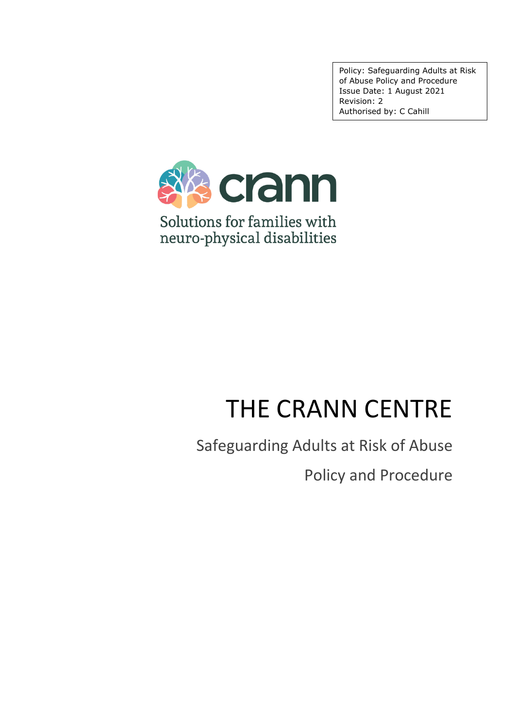Policy: Safeguarding Adults at Risk of Abuse Policy and Procedure Issue Date: 1 August 2021 Revision: 2 Authorised by: C Cahill



# THE CRANN CENTRE

Safeguarding Adults at Risk of Abuse

Policy and Procedure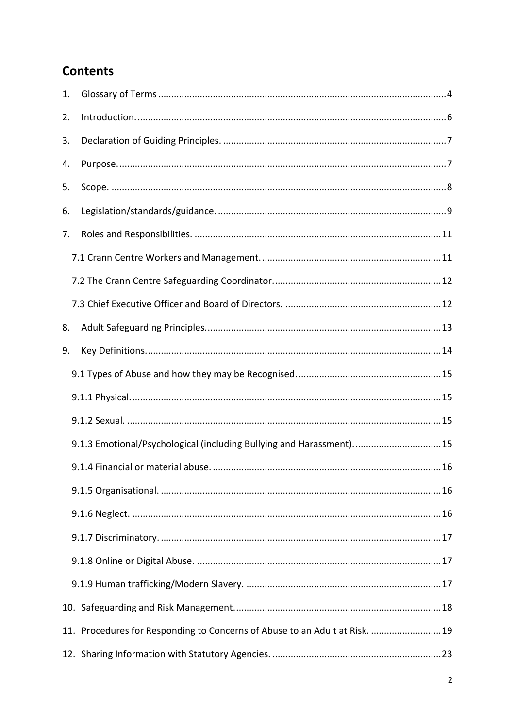# **Contents**

| 1. |                                                                            |  |
|----|----------------------------------------------------------------------------|--|
| 2. |                                                                            |  |
| 3. |                                                                            |  |
| 4. |                                                                            |  |
| 5. |                                                                            |  |
| 6. |                                                                            |  |
| 7. |                                                                            |  |
|    |                                                                            |  |
|    |                                                                            |  |
|    |                                                                            |  |
| 8. |                                                                            |  |
| 9. |                                                                            |  |
|    |                                                                            |  |
|    |                                                                            |  |
|    |                                                                            |  |
|    | 9.1.3 Emotional/Psychological (including Bullying and Harassment)15        |  |
|    |                                                                            |  |
|    |                                                                            |  |
|    |                                                                            |  |
|    |                                                                            |  |
|    |                                                                            |  |
|    |                                                                            |  |
|    |                                                                            |  |
|    | 11. Procedures for Responding to Concerns of Abuse to an Adult at Risk. 19 |  |
|    |                                                                            |  |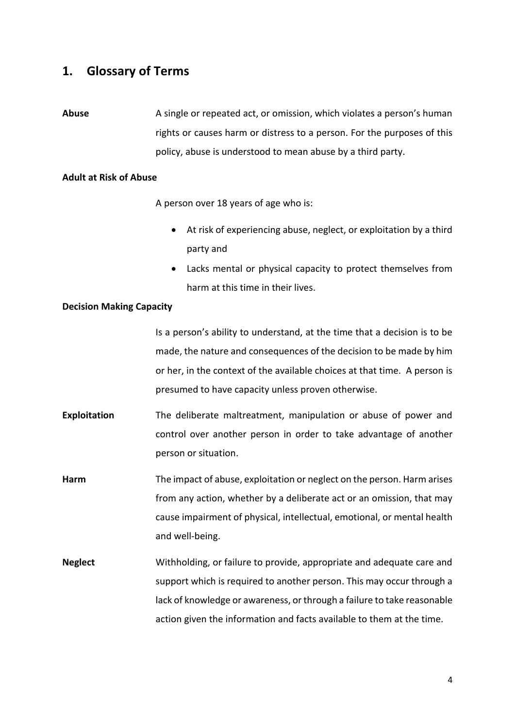# <span id="page-3-0"></span>**1. Glossary of Terms**

**Abuse** A single or repeated act, or omission, which violates a person's human rights or causes harm or distress to a person. For the purposes of this policy, abuse is understood to mean abuse by a third party.

#### **Adult at Risk of Abuse**

A person over 18 years of age who is:

- At risk of experiencing abuse, neglect, or exploitation by a third party and
- Lacks mental or physical capacity to protect themselves from harm at this time in their lives.

#### **Decision Making Capacity**

Is a person's ability to understand, at the time that a decision is to be made, the nature and consequences of the decision to be made by him or her, in the context of the available choices at that time. A person is presumed to have capacity unless proven otherwise.

- **Exploitation** The deliberate maltreatment, manipulation or abuse of power and control over another person in order to take advantage of another person or situation.
- **Harm** The impact of abuse, exploitation or neglect on the person. Harm arises from any action, whether by a deliberate act or an omission, that may cause impairment of physical, intellectual, emotional, or mental health and well-being.
- **Neglect** Withholding, or failure to provide, appropriate and adequate care and support which is required to another person. This may occur through a lack of knowledge or awareness, or through a failure to take reasonable action given the information and facts available to them at the time.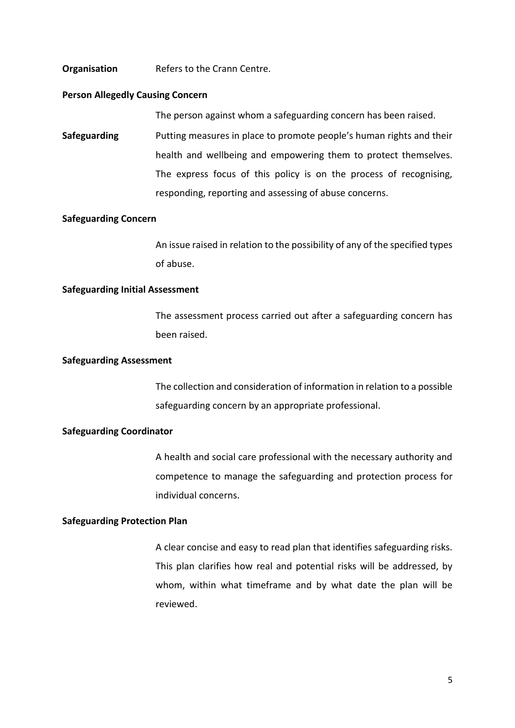#### **Organisation** Refers to the Crann Centre.

#### **Person Allegedly Causing Concern**

The person against whom a safeguarding concern has been raised.

**Safeguarding** Putting measures in place to promote people's human rights and their health and wellbeing and empowering them to protect themselves. The express focus of this policy is on the process of recognising, responding, reporting and assessing of abuse concerns.

#### **Safeguarding Concern**

An issue raised in relation to the possibility of any of the specified types of abuse.

#### **Safeguarding Initial Assessment**

The assessment process carried out after a safeguarding concern has been raised.

#### **Safeguarding Assessment**

The collection and consideration of information in relation to a possible safeguarding concern by an appropriate professional.

#### **Safeguarding Coordinator**

A health and social care professional with the necessary authority and competence to manage the safeguarding and protection process for individual concerns.

#### **Safeguarding Protection Plan**

A clear concise and easy to read plan that identifies safeguarding risks. This plan clarifies how real and potential risks will be addressed, by whom, within what timeframe and by what date the plan will be reviewed.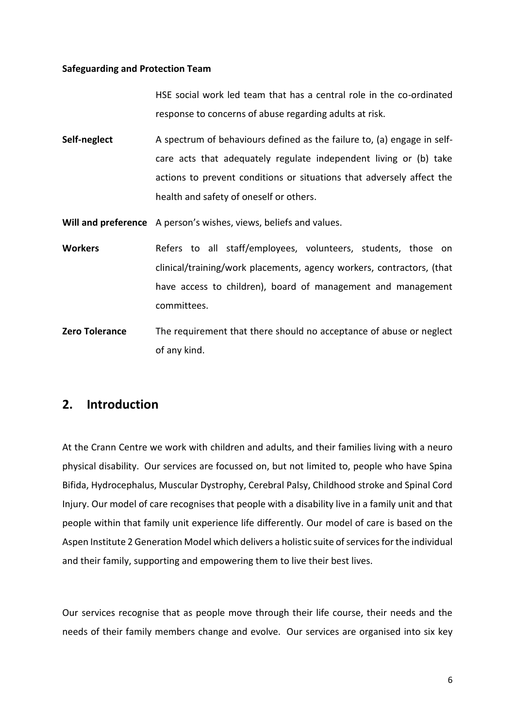#### **Safeguarding and Protection Team**

HSE social work led team that has a central role in the co-ordinated response to concerns of abuse regarding adults at risk.

**Self-neglect** A spectrum of behaviours defined as the failure to, (a) engage in selfcare acts that adequately regulate independent living or (b) take actions to prevent conditions or situations that adversely affect the health and safety of oneself or others.

**Will and preference** A person's wishes, views, beliefs and values.

- Workers **Refers** to all staff/employees, volunteers, students, those on clinical/training/work placements, agency workers, contractors, (that have access to children), board of management and management committees.
- **Zero Tolerance** The requirement that there should no acceptance of abuse or neglect of any kind.

# <span id="page-5-0"></span>**2. Introduction**

At the Crann Centre we work with children and adults, and their families living with a neuro physical disability. Our services are focussed on, but not limited to, people who have Spina Bifida, Hydrocephalus, Muscular Dystrophy, Cerebral Palsy, Childhood stroke and Spinal Cord Injury. Our model of care recognises that people with a disability live in a family unit and that people within that family unit experience life differently. Our model of care is based on the Aspen Institute 2 Generation Model which delivers a holistic suite of services for the individual and their family, supporting and empowering them to live their best lives.

Our services recognise that as people move through their life course, their needs and the needs of their family members change and evolve. Our services are organised into six key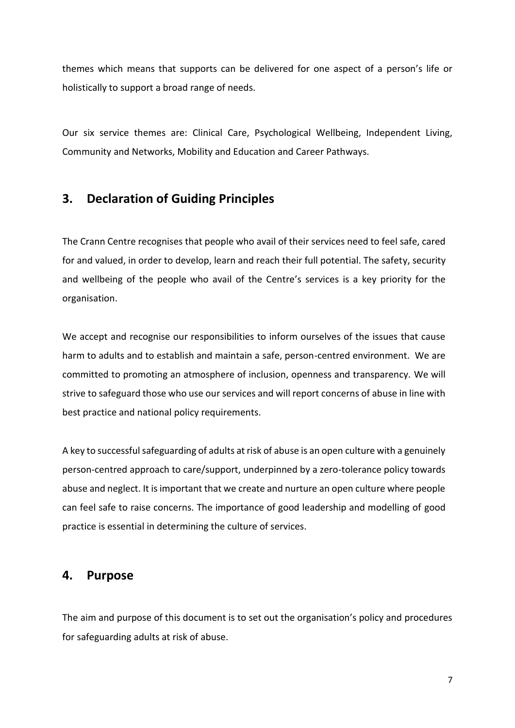themes which means that supports can be delivered for one aspect of a person's life or holistically to support a broad range of needs.

Our six service themes are: Clinical Care, Psychological Wellbeing, Independent Living, Community and Networks, Mobility and Education and Career Pathways.

# <span id="page-6-0"></span>**3. Declaration of Guiding Principles**

The Crann Centre recognises that people who avail of their services need to feel safe, cared for and valued, in order to develop, learn and reach their full potential. The safety, security and wellbeing of the people who avail of the Centre's services is a key priority for the organisation.

We accept and recognise our responsibilities to inform ourselves of the issues that cause harm to adults and to establish and maintain a safe, person-centred environment. We are committed to promoting an atmosphere of inclusion, openness and transparency. We will strive to safeguard those who use our services and will report concerns of abuse in line with best practice and national policy requirements.

A key to successful safeguarding of adults at risk of abuse is an open culture with a genuinely person-centred approach to care/support, underpinned by a zero-tolerance policy towards abuse and neglect. It is important that we create and nurture an open culture where people can feel safe to raise concerns. The importance of good leadership and modelling of good practice is essential in determining the culture of services.

## <span id="page-6-1"></span>**4. Purpose**

The aim and purpose of this document is to set out the organisation's policy and procedures for safeguarding adults at risk of abuse.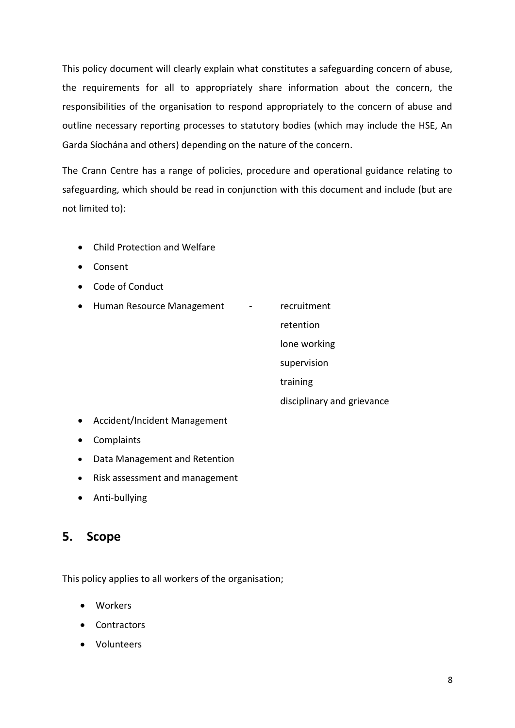This policy document will clearly explain what constitutes a safeguarding concern of abuse, the requirements for all to appropriately share information about the concern, the responsibilities of the organisation to respond appropriately to the concern of abuse and outline necessary reporting processes to statutory bodies (which may include the HSE, An Garda Síochána and others) depending on the nature of the concern.

The Crann Centre has a range of policies, procedure and operational guidance relating to safeguarding, which should be read in conjunction with this document and include (but are not limited to):

- Child Protection and Welfare
- Consent
- Code of Conduct
- Human Resource Management recruitment

retention

lone working

supervision

training

disciplinary and grievance

- Accident/Incident Management
- Complaints
- Data Management and Retention
- Risk assessment and management
- Anti-bullying

# <span id="page-7-0"></span>**5. Scope**

This policy applies to all workers of the organisation;

- Workers
- Contractors
- Volunteers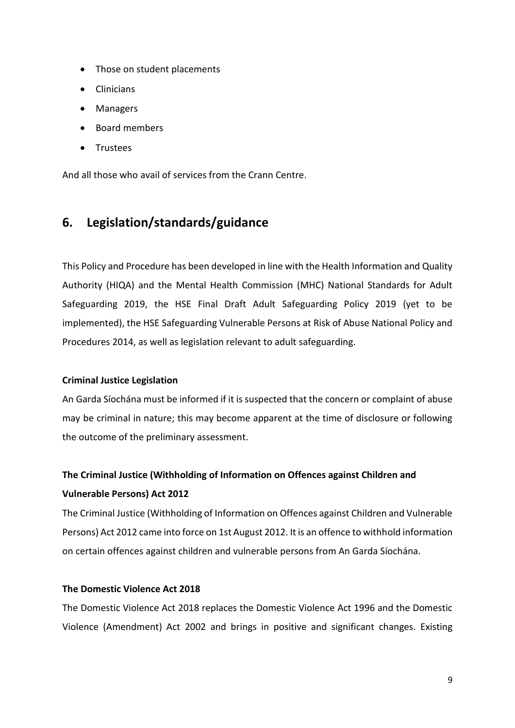- Those on student placements
- **Clinicians**
- Managers
- Board members
- Trustees

And all those who avail of services from the Crann Centre.

# <span id="page-8-0"></span>**6. Legislation/standards/guidance**

This Policy and Procedure has been developed in line with the Health Information and Quality Authority (HIQA) and the Mental Health Commission (MHC) National Standards for Adult Safeguarding 2019, the HSE Final Draft Adult Safeguarding Policy 2019 (yet to be implemented), the HSE Safeguarding Vulnerable Persons at Risk of Abuse National Policy and Procedures 2014, as well as legislation relevant to adult safeguarding.

## **Criminal Justice Legislation**

An Garda Síochána must be informed if it is suspected that the concern or complaint of abuse may be criminal in nature; this may become apparent at the time of disclosure or following the outcome of the preliminary assessment.

# **The Criminal Justice (Withholding of Information on Offences against Children and Vulnerable Persons) Act 2012**

The Criminal Justice (Withholding of Information on Offences against Children and Vulnerable Persons) Act 2012 came into force on 1st August 2012. It is an offence to withhold information on certain offences against children and vulnerable persons from An Garda Síochána.

## **The Domestic Violence Act 2018**

The Domestic Violence Act 2018 replaces the Domestic Violence Act 1996 and the Domestic Violence (Amendment) Act 2002 and brings in positive and significant changes. Existing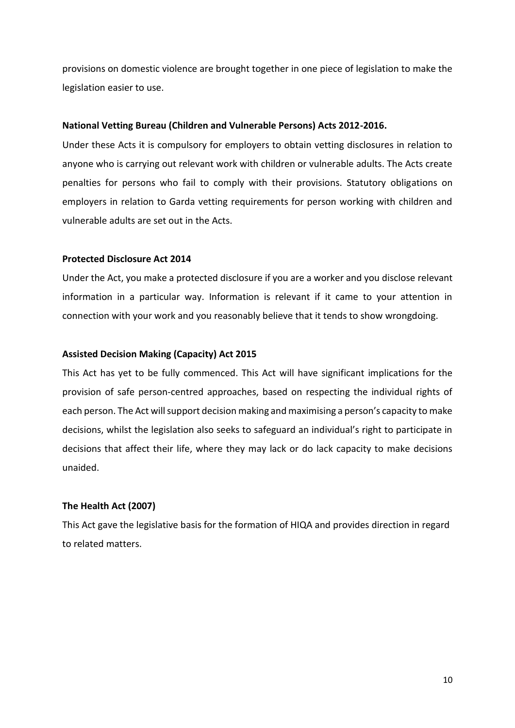provisions on domestic violence are brought together in one piece of legislation to make the legislation easier to use.

#### **National Vetting Bureau (Children and Vulnerable Persons) Acts 2012-2016.**

Under these Acts it is compulsory for employers to obtain vetting disclosures in relation to anyone who is carrying out relevant work with children or vulnerable adults. The Acts create penalties for persons who fail to comply with their provisions. Statutory obligations on employers in relation to Garda vetting requirements for person working with children and vulnerable adults are set out in the Acts.

#### **Protected Disclosure Act 2014**

Under the Act, you make a protected disclosure if you are a worker and you disclose relevant information in a particular way. Information is relevant if it came to your attention in connection with your work and you reasonably believe that it tends to show wrongdoing.

#### **Assisted Decision Making (Capacity) Act 2015**

This Act has yet to be fully commenced. This Act will have significant implications for the provision of safe person-centred approaches, based on respecting the individual rights of each person. The Act will support decision making and maximising a person's capacity to make decisions, whilst the legislation also seeks to safeguard an individual's right to participate in decisions that affect their life, where they may lack or do lack capacity to make decisions unaided.

## **The Health Act (2007)**

This Act gave the legislative basis for the formation of HIQA and provides direction in regard to related matters.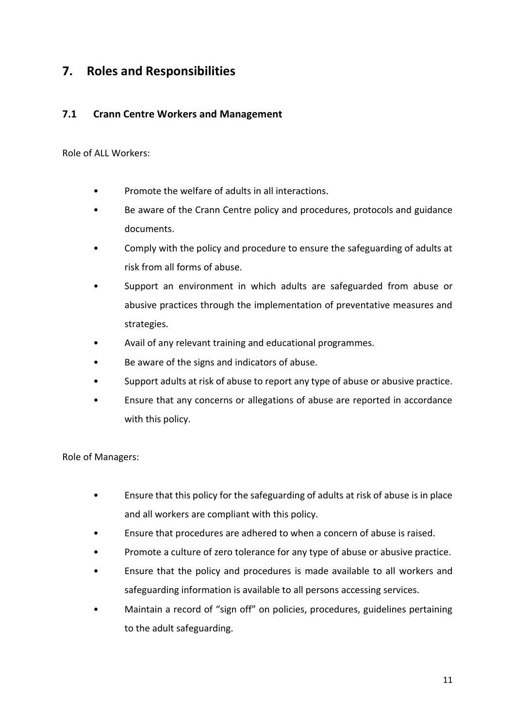# <span id="page-10-0"></span>**7. Roles and Responsibilities**

## <span id="page-10-1"></span>**7.1 Crann Centre Workers and Management**

Role of ALL Workers:

- Promote the welfare of adults in all interactions.
- Be aware of the Crann Centre policy and procedures, protocols and guidance documents.
- Comply with the policy and procedure to ensure the safeguarding of adults at risk from all forms of abuse.
- Support an environment in which adults are safeguarded from abuse or abusive practices through the implementation of preventative measures and strategies.
- Avail of any relevant training and educational programmes.
- Be aware of the signs and indicators of abuse.
- Support adults at risk of abuse to report any type of abuse or abusive practice.
- Ensure that any concerns or allegations of abuse are reported in accordance with this policy.

Role of Managers:

- Ensure that this policy for the safeguarding of adults at risk of abuse is in place and all workers are compliant with this policy.
- Ensure that procedures are adhered to when a concern of abuse is raised.
- Promote a culture of zero tolerance for any type of abuse or abusive practice.
- Ensure that the policy and procedures is made available to all workers and safeguarding information is available to all persons accessing services.
- Maintain a record of "sign off" on policies, procedures, guidelines pertaining to the adult safeguarding.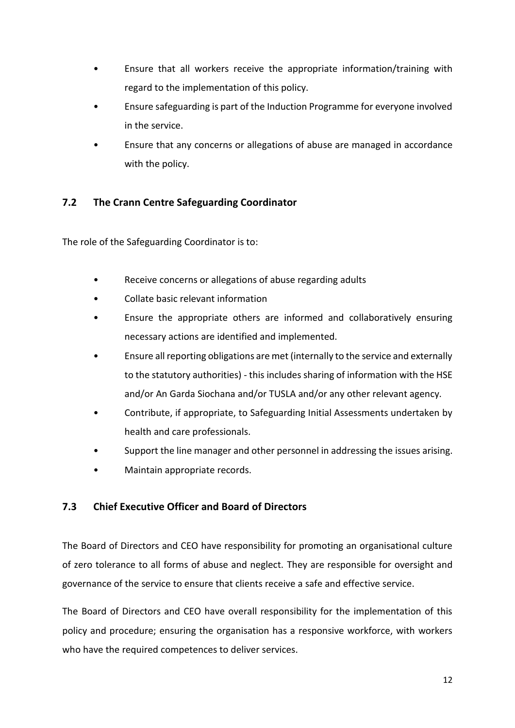- Ensure that all workers receive the appropriate information/training with regard to the implementation of this policy.
- Ensure safeguarding is part of the Induction Programme for everyone involved in the service.
- Ensure that any concerns or allegations of abuse are managed in accordance with the policy.

# <span id="page-11-0"></span>**7.2 The Crann Centre Safeguarding Coordinator**

The role of the Safeguarding Coordinator is to:

- Receive concerns or allegations of abuse regarding adults
- Collate basic relevant information
- Ensure the appropriate others are informed and collaboratively ensuring necessary actions are identified and implemented.
- Ensure all reporting obligations are met (internally to the service and externally to the statutory authorities) - this includes sharing of information with the HSE and/or An Garda Siochana and/or TUSLA and/or any other relevant agency.
- Contribute, if appropriate, to Safeguarding Initial Assessments undertaken by health and care professionals.
- Support the line manager and other personnel in addressing the issues arising.
- Maintain appropriate records.

## <span id="page-11-1"></span>**7.3 Chief Executive Officer and Board of Directors**

The Board of Directors and CEO have responsibility for promoting an organisational culture of zero tolerance to all forms of abuse and neglect. They are responsible for oversight and governance of the service to ensure that clients receive a safe and effective service.

The Board of Directors and CEO have overall responsibility for the implementation of this policy and procedure; ensuring the organisation has a responsive workforce, with workers who have the required competences to deliver services.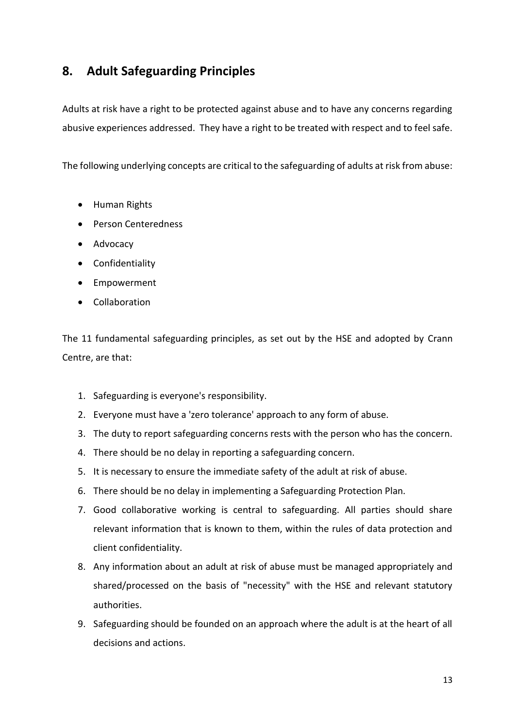# <span id="page-12-0"></span>**8. Adult Safeguarding Principles**

Adults at risk have a right to be protected against abuse and to have any concerns regarding abusive experiences addressed. They have a right to be treated with respect and to feel safe.

The following underlying concepts are critical to the safeguarding of adults at risk from abuse:

- Human Rights
- Person Centeredness
- Advocacy
- Confidentiality
- Empowerment
- Collaboration

The 11 fundamental safeguarding principles, as set out by the HSE and adopted by Crann Centre, are that:

- 1. Safeguarding is everyone's responsibility.
- 2. Everyone must have a 'zero tolerance' approach to any form of abuse.
- 3. The duty to report safeguarding concerns rests with the person who has the concern.
- 4. There should be no delay in reporting a safeguarding concern.
- 5. It is necessary to ensure the immediate safety of the adult at risk of abuse.
- 6. There should be no delay in implementing a Safeguarding Protection Plan.
- 7. Good collaborative working is central to safeguarding. All parties should share relevant information that is known to them, within the rules of data protection and client confidentiality.
- 8. Any information about an adult at risk of abuse must be managed appropriately and shared/processed on the basis of "necessity" with the HSE and relevant statutory authorities.
- 9. Safeguarding should be founded on an approach where the adult is at the heart of all decisions and actions.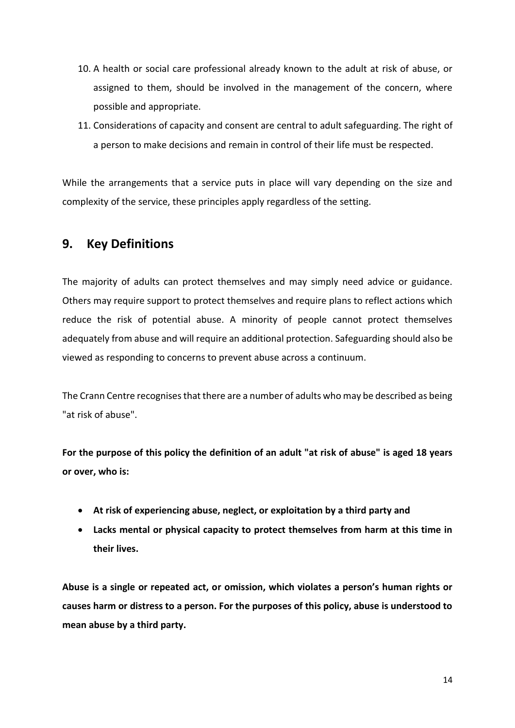- 10. A health or social care professional already known to the adult at risk of abuse, or assigned to them, should be involved in the management of the concern, where possible and appropriate.
- 11. Considerations of capacity and consent are central to adult safeguarding. The right of a person to make decisions and remain in control of their life must be respected.

While the arrangements that a service puts in place will vary depending on the size and complexity of the service, these principles apply regardless of the setting.

# <span id="page-13-0"></span>**9. Key Definitions**

The majority of adults can protect themselves and may simply need advice or guidance. Others may require support to protect themselves and require plans to reflect actions which reduce the risk of potential abuse. A minority of people cannot protect themselves adequately from abuse and will require an additional protection. Safeguarding should also be viewed as responding to concerns to prevent abuse across a continuum.

The Crann Centre recognises that there are a number of adults who may be described as being "at risk of abuse".

**For the purpose of this policy the definition of an adult "at risk of abuse" is aged 18 years or over, who is:**

- **At risk of experiencing abuse, neglect, or exploitation by a third party and**
- **Lacks mental or physical capacity to protect themselves from harm at this time in their lives.**

**Abuse is a single or repeated act, or omission, which violates a person's human rights or causes harm or distress to a person. For the purposes of this policy, abuse is understood to mean abuse by a third party.**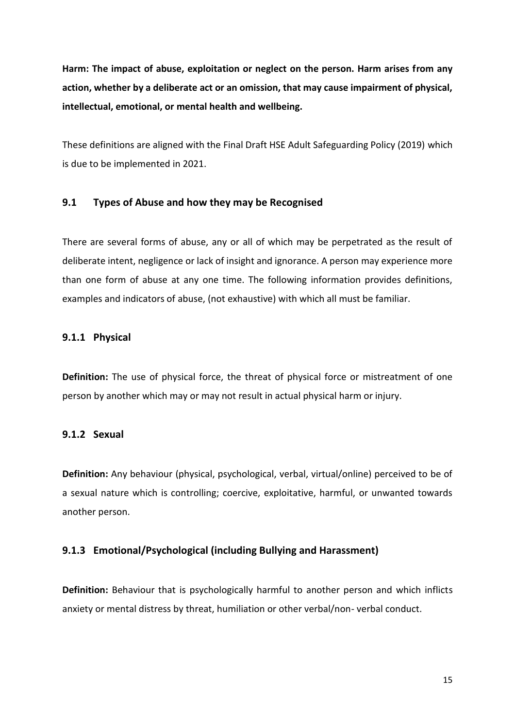**Harm: The impact of abuse, exploitation or neglect on the person. Harm arises from any action, whether by a deliberate act or an omission, that may cause impairment of physical, intellectual, emotional, or mental health and wellbeing.**

These definitions are aligned with the Final Draft HSE Adult Safeguarding Policy (2019) which is due to be implemented in 2021.

## <span id="page-14-0"></span>**9.1 Types of Abuse and how they may be Recognised**

There are several forms of abuse, any or all of which may be perpetrated as the result of deliberate intent, negligence or lack of insight and ignorance. A person may experience more than one form of abuse at any one time. The following information provides definitions, examples and indicators of abuse, (not exhaustive) with which all must be familiar.

## <span id="page-14-1"></span>**9.1.1 Physical**

**Definition:** The use of physical force, the threat of physical force or mistreatment of one person by another which may or may not result in actual physical harm or injury.

## <span id="page-14-2"></span>**9.1.2 Sexual**

**Definition:** Any behaviour (physical, psychological, verbal, virtual/online) perceived to be of a sexual nature which is controlling; coercive, exploitative, harmful, or unwanted towards another person.

#### <span id="page-14-3"></span>**9.1.3 Emotional/Psychological (including Bullying and Harassment)**

**Definition:** Behaviour that is psychologically harmful to another person and which inflicts anxiety or mental distress by threat, humiliation or other verbal/non- verbal conduct.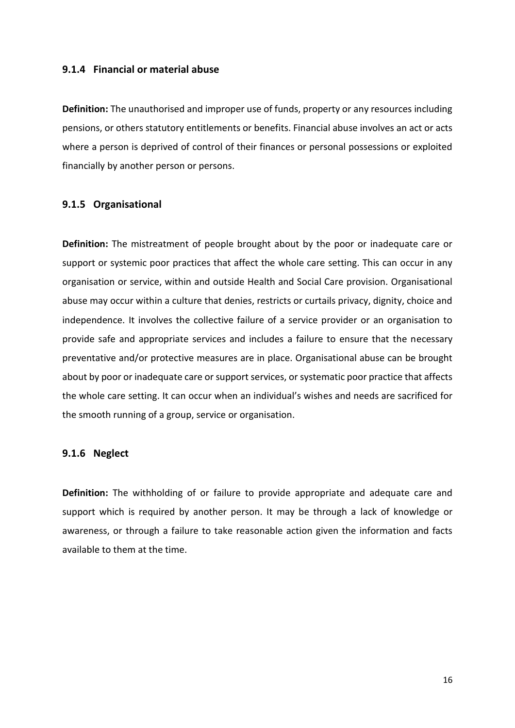#### <span id="page-15-0"></span>**9.1.4 Financial or material abuse**

**Definition:** The unauthorised and improper use of funds, property or any resources including pensions, or others statutory entitlements or benefits. Financial abuse involves an act or acts where a person is deprived of control of their finances or personal possessions or exploited financially by another person or persons.

## <span id="page-15-1"></span>**9.1.5 Organisational**

**Definition:** The mistreatment of people brought about by the poor or inadequate care or support or systemic poor practices that affect the whole care setting. This can occur in any organisation or service, within and outside Health and Social Care provision. Organisational abuse may occur within a culture that denies, restricts or curtails privacy, dignity, choice and independence. It involves the collective failure of a service provider or an organisation to provide safe and appropriate services and includes a failure to ensure that the necessary preventative and/or protective measures are in place. Organisational abuse can be brought about by poor or inadequate care or support services, or systematic poor practice that affects the whole care setting. It can occur when an individual's wishes and needs are sacrificed for the smooth running of a group, service or organisation.

#### <span id="page-15-2"></span>**9.1.6 Neglect**

**Definition:** The withholding of or failure to provide appropriate and adequate care and support which is required by another person. It may be through a lack of knowledge or awareness, or through a failure to take reasonable action given the information and facts available to them at the time.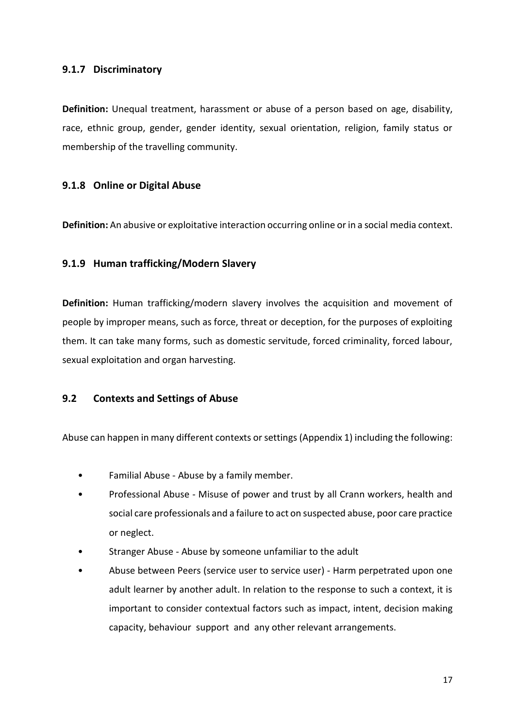## <span id="page-16-0"></span>**9.1.7 Discriminatory**

**Definition:** Unequal treatment, harassment or abuse of a person based on age, disability, race, ethnic group, gender, gender identity, sexual orientation, religion, family status or membership of the travelling community.

## <span id="page-16-1"></span>**9.1.8 Online or Digital Abuse**

**Definition:** An abusive or exploitative interaction occurring online or in a social media context.

## <span id="page-16-2"></span>**9.1.9 Human trafficking/Modern Slavery**

**Definition:** Human trafficking/modern slavery involves the acquisition and movement of people by improper means, such as force, threat or deception, for the purposes of exploiting them. It can take many forms, such as domestic servitude, forced criminality, forced labour, sexual exploitation and organ harvesting.

## **9.2 Contexts and Settings of Abuse**

Abuse can happen in many different contexts or settings (Appendix 1) including the following:

- Familial Abuse Abuse by a family member.
- Professional Abuse Misuse of power and trust by all Crann workers, health and social care professionals and a failure to act on suspected abuse, poor care practice or neglect.
- Stranger Abuse Abuse by someone unfamiliar to the adult
- Abuse between Peers (service user to service user) Harm perpetrated upon one adult learner by another adult. In relation to the response to such a context, it is important to consider contextual factors such as impact, intent, decision making capacity, behaviour support and any other relevant arrangements.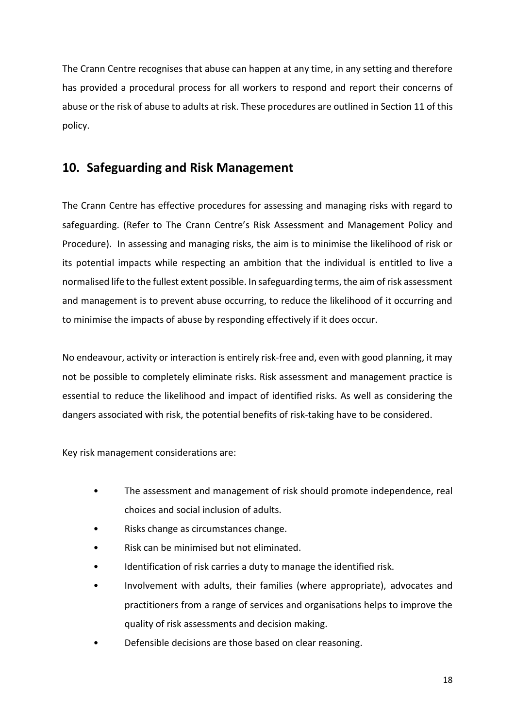The Crann Centre recognises that abuse can happen at any time, in any setting and therefore has provided a procedural process for all workers to respond and report their concerns of abuse or the risk of abuse to adults at risk. These procedures are outlined in Section 11 of this policy.

# <span id="page-17-0"></span>**10. Safeguarding and Risk Management**

The Crann Centre has effective procedures for assessing and managing risks with regard to safeguarding. (Refer to The Crann Centre's Risk Assessment and Management Policy and Procedure). In assessing and managing risks, the aim is to minimise the likelihood of risk or its potential impacts while respecting an ambition that the individual is entitled to live a normalised life to the fullest extent possible. In safeguarding terms, the aim of risk assessment and management is to prevent abuse occurring, to reduce the likelihood of it occurring and to minimise the impacts of abuse by responding effectively if it does occur.

No endeavour, activity or interaction is entirely risk‐free and, even with good planning, it may not be possible to completely eliminate risks. Risk assessment and management practice is essential to reduce the likelihood and impact of identified risks. As well as considering the dangers associated with risk, the potential benefits of risk‐taking have to be considered.

Key risk management considerations are:

- The assessment and management of risk should promote independence, real choices and social inclusion of adults.
- Risks change as circumstances change.
- Risk can be minimised but not eliminated.
- Identification of risk carries a duty to manage the identified risk.
- Involvement with adults, their families (where appropriate), advocates and practitioners from a range of services and organisations helps to improve the quality of risk assessments and decision making.
- Defensible decisions are those based on clear reasoning.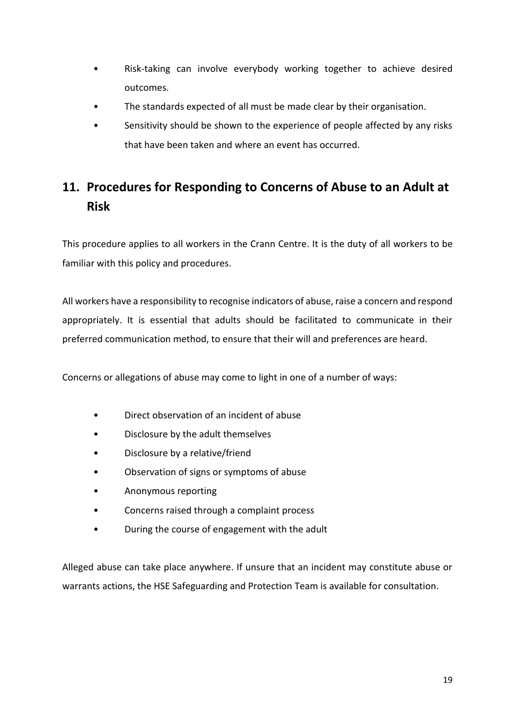- Risk-taking can involve everybody working together to achieve desired outcomes.
- The standards expected of all must be made clear by their organisation.
- Sensitivity should be shown to the experience of people affected by any risks that have been taken and where an event has occurred.

# <span id="page-18-0"></span>**11. Procedures for Responding to Concerns of Abuse to an Adult at Risk**

This procedure applies to all workers in the Crann Centre. It is the duty of all workers to be familiar with this policy and procedures.

All workers have a responsibility to recognise indicators of abuse, raise a concern and respond appropriately. It is essential that adults should be facilitated to communicate in their preferred communication method, to ensure that their will and preferences are heard.

Concerns or allegations of abuse may come to light in one of a number of ways:

- Direct observation of an incident of abuse
- Disclosure by the adult themselves
- Disclosure by a relative/friend
- Observation of signs or symptoms of abuse
- Anonymous reporting
- Concerns raised through a complaint process
- During the course of engagement with the adult

Alleged abuse can take place anywhere. If unsure that an incident may constitute abuse or warrants actions, the HSE Safeguarding and Protection Team is available for consultation.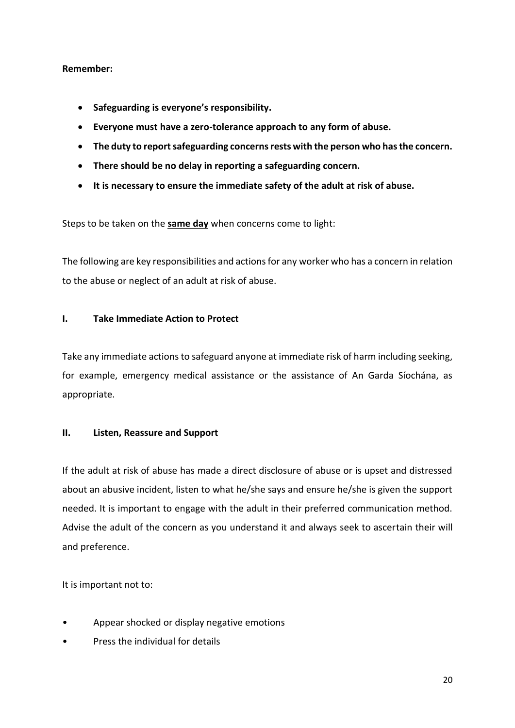## **Remember:**

- **Safeguarding is everyone's responsibility.**
- **Everyone must have a zero-tolerance approach to any form of abuse.**
- **The duty to report safeguarding concerns rests with the person who has the concern.**
- **There should be no delay in reporting a safeguarding concern.**
- **It is necessary to ensure the immediate safety of the adult at risk of abuse.**

Steps to be taken on the **same day** when concerns come to light:

The following are key responsibilities and actions for any worker who has a concern in relation to the abuse or neglect of an adult at risk of abuse.

## **I. Take Immediate Action to Protect**

Take any immediate actions to safeguard anyone at immediate risk of harm including seeking, for example, emergency medical assistance or the assistance of An Garda Síochána, as appropriate.

## **II. Listen, Reassure and Support**

If the adult at risk of abuse has made a direct disclosure of abuse or is upset and distressed about an abusive incident, listen to what he/she says and ensure he/she is given the support needed. It is important to engage with the adult in their preferred communication method. Advise the adult of the concern as you understand it and always seek to ascertain their will and preference.

It is important not to:

- Appear shocked or display negative emotions
- Press the individual for details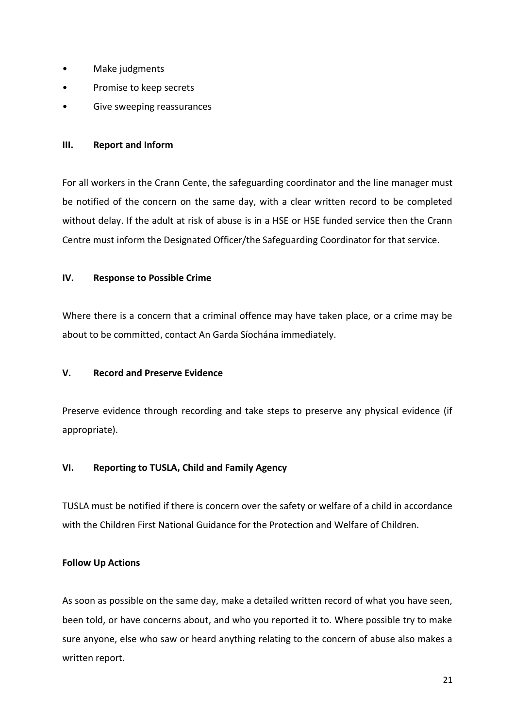- Make judgments
- Promise to keep secrets
- Give sweeping reassurances

## **III. Report and Inform**

For all workers in the Crann Cente, the safeguarding coordinator and the line manager must be notified of the concern on the same day, with a clear written record to be completed without delay. If the adult at risk of abuse is in a HSE or HSE funded service then the Crann Centre must inform the Designated Officer/the Safeguarding Coordinator for that service.

## **IV. Response to Possible Crime**

Where there is a concern that a criminal offence may have taken place, or a crime may be about to be committed, contact An Garda Síochána immediately.

## **V. Record and Preserve Evidence**

Preserve evidence through recording and take steps to preserve any physical evidence (if appropriate).

## **VI. Reporting to TUSLA, Child and Family Agency**

TUSLA must be notified if there is concern over the safety or welfare of a child in accordance with the Children First National Guidance for the Protection and Welfare of Children.

## **Follow Up Actions**

As soon as possible on the same day, make a detailed written record of what you have seen, been told, or have concerns about, and who you reported it to. Where possible try to make sure anyone, else who saw or heard anything relating to the concern of abuse also makes a written report.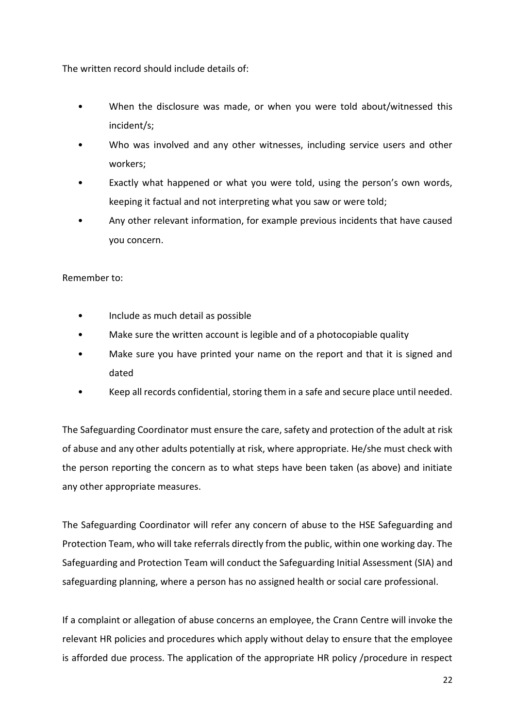The written record should include details of:

- When the disclosure was made, or when you were told about/witnessed this incident/s;
- Who was involved and any other witnesses, including service users and other workers;
- Exactly what happened or what you were told, using the person's own words, keeping it factual and not interpreting what you saw or were told;
- Any other relevant information, for example previous incidents that have caused you concern.

## Remember to:

- Include as much detail as possible
- Make sure the written account is legible and of a photocopiable quality
- Make sure you have printed your name on the report and that it is signed and dated
- Keep all records confidential, storing them in a safe and secure place until needed.

The Safeguarding Coordinator must ensure the care, safety and protection of the adult at risk of abuse and any other adults potentially at risk, where appropriate. He/she must check with the person reporting the concern as to what steps have been taken (as above) and initiate any other appropriate measures.

The Safeguarding Coordinator will refer any concern of abuse to the HSE Safeguarding and Protection Team, who will take referrals directly from the public, within one working day. The Safeguarding and Protection Team will conduct the Safeguarding Initial Assessment (SIA) and safeguarding planning, where a person has no assigned health or social care professional.

If a complaint or allegation of abuse concerns an employee, the Crann Centre will invoke the relevant HR policies and procedures which apply without delay to ensure that the employee is afforded due process. The application of the appropriate HR policy /procedure in respect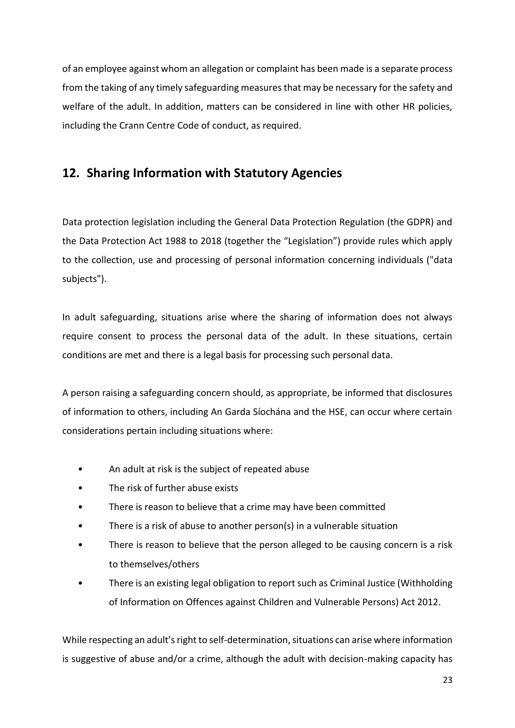of an employee against whom an allegation or complaint has been made is a separate process from the taking of any timely safeguarding measures that may be necessary for the safety and welfare of the adult. In addition, matters can be considered in line with other HR policies, including the Crann Centre Code of conduct, as required.

# <span id="page-22-0"></span>**12. Sharing Information with Statutory Agencies**

Data protection legislation including the General Data Protection Regulation (the GDPR) and the Data Protection Act 1988 to 2018 (together the "Legislation") provide rules which apply to the collection, use and processing of personal information concerning individuals ("data subjects").

In adult safeguarding, situations arise where the sharing of information does not always require consent to process the personal data of the adult. In these situations, certain conditions are met and there is a legal basis for processing such personal data.

A person raising a safeguarding concern should, as appropriate, be informed that disclosures of information to others, including An Garda Síochána and the HSE, can occur where certain considerations pertain including situations where:

- An adult at risk is the subject of repeated abuse
- The risk of further abuse exists
- There is reason to believe that a crime may have been committed
- There is a risk of abuse to another person(s) in a vulnerable situation
- There is reason to believe that the person alleged to be causing concern is a risk to themselves/others
- There is an existing legal obligation to report such as Criminal Justice (Withholding of Information on Offences against Children and Vulnerable Persons) Act 2012.

While respecting an adult's right to self-determination, situations can arise where information is suggestive of abuse and/or a crime, although the adult with decision-making capacity has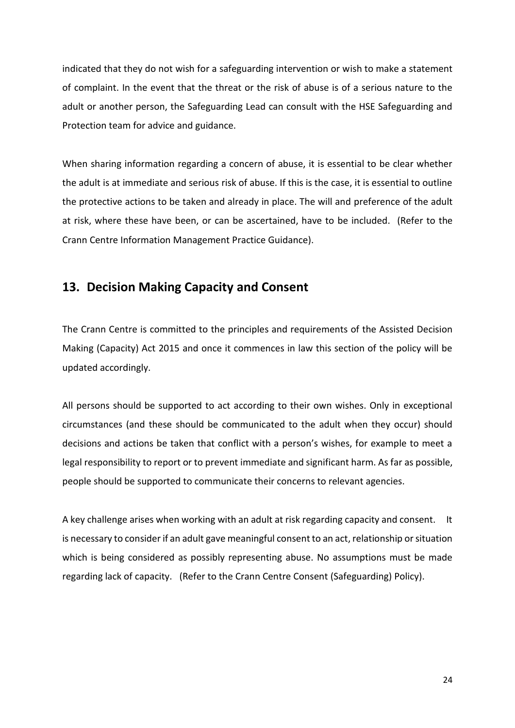indicated that they do not wish for a safeguarding intervention or wish to make a statement of complaint. In the event that the threat or the risk of abuse is of a serious nature to the adult or another person, the Safeguarding Lead can consult with the HSE Safeguarding and Protection team for advice and guidance.

When sharing information regarding a concern of abuse, it is essential to be clear whether the adult is at immediate and serious risk of abuse. If this is the case, it is essential to outline the protective actions to be taken and already in place. The will and preference of the adult at risk, where these have been, or can be ascertained, have to be included. (Refer to the Crann Centre Information Management Practice Guidance).

## <span id="page-23-0"></span>**13. Decision Making Capacity and Consent**

The Crann Centre is committed to the principles and requirements of the Assisted Decision Making (Capacity) Act 2015 and once it commences in law this section of the policy will be updated accordingly.

All persons should be supported to act according to their own wishes. Only in exceptional circumstances (and these should be communicated to the adult when they occur) should decisions and actions be taken that conflict with a person's wishes, for example to meet a legal responsibility to report or to prevent immediate and significant harm. As far as possible, people should be supported to communicate their concerns to relevant agencies.

A key challenge arises when working with an adult at risk regarding capacity and consent. It is necessary to consider if an adult gave meaningful consent to an act, relationship or situation which is being considered as possibly representing abuse. No assumptions must be made regarding lack of capacity. (Refer to the Crann Centre Consent (Safeguarding) Policy).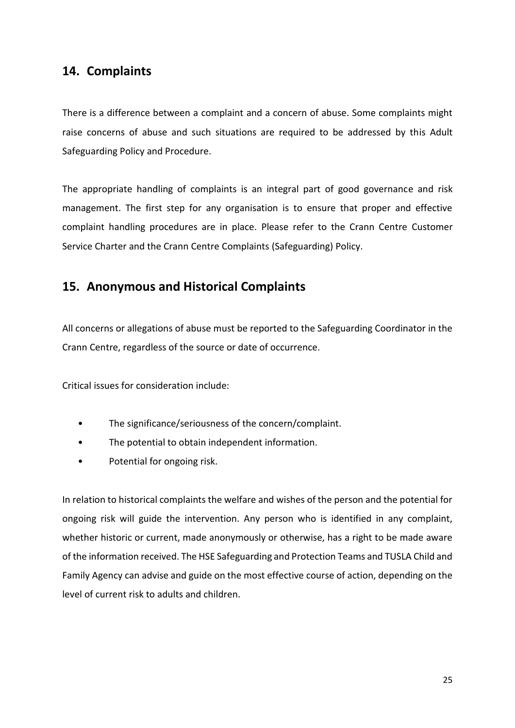# <span id="page-24-0"></span>**14. Complaints**

There is a difference between a complaint and a concern of abuse. Some complaints might raise concerns of abuse and such situations are required to be addressed by this Adult Safeguarding Policy and Procedure.

The appropriate handling of complaints is an integral part of good governance and risk management. The first step for any organisation is to ensure that proper and effective complaint handling procedures are in place. Please refer to the Crann Centre Customer Service Charter and the Crann Centre Complaints (Safeguarding) Policy.

# <span id="page-24-1"></span>**15. Anonymous and Historical Complaints**

All concerns or allegations of abuse must be reported to the Safeguarding Coordinator in the Crann Centre, regardless of the source or date of occurrence.

Critical issues for consideration include:

- The significance/seriousness of the concern/complaint.
- The potential to obtain independent information.
- Potential for ongoing risk.

In relation to historical complaints the welfare and wishes of the person and the potential for ongoing risk will guide the intervention. Any person who is identified in any complaint, whether historic or current, made anonymously or otherwise, has a right to be made aware of the information received. The HSE Safeguarding and Protection Teams and TUSLA Child and Family Agency can advise and guide on the most effective course of action, depending on the level of current risk to adults and children.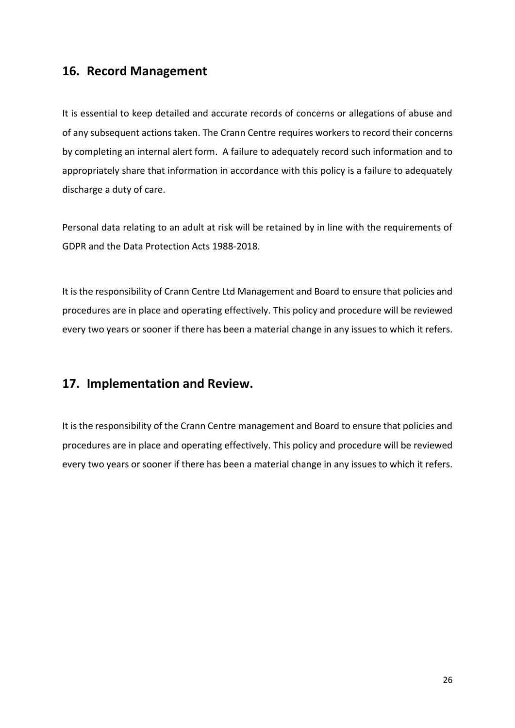# <span id="page-25-0"></span>**16. Record Management**

It is essential to keep detailed and accurate records of concerns or allegations of abuse and of any subsequent actions taken. The Crann Centre requires workers to record their concerns by completing an internal alert form. A failure to adequately record such information and to appropriately share that information in accordance with this policy is a failure to adequately discharge a duty of care.

Personal data relating to an adult at risk will be retained by in line with the requirements of GDPR and the Data Protection Acts 1988-2018.

It is the responsibility of Crann Centre Ltd Management and Board to ensure that policies and procedures are in place and operating effectively. This policy and procedure will be reviewed every two years or sooner if there has been a material change in any issues to which it refers.

# <span id="page-25-1"></span>**17. Implementation and Review.**

It is the responsibility of the Crann Centre management and Board to ensure that policies and procedures are in place and operating effectively. This policy and procedure will be reviewed every two years or sooner if there has been a material change in any issues to which it refers.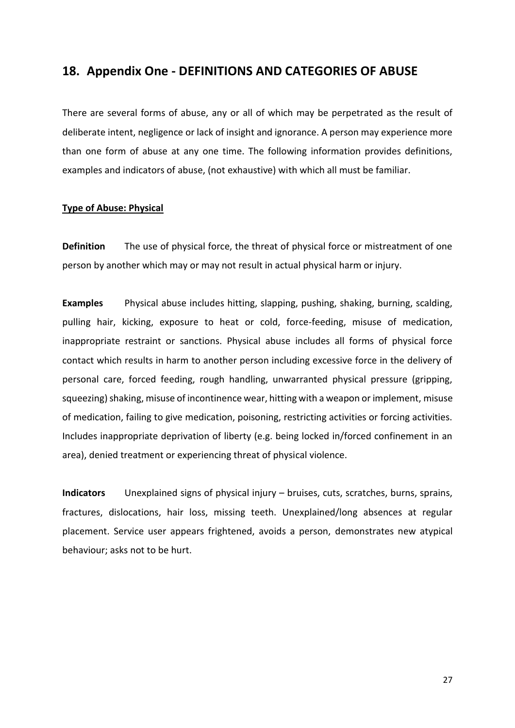## <span id="page-26-0"></span>**18. Appendix One - DEFINITIONS AND CATEGORIES OF ABUSE**

There are several forms of abuse, any or all of which may be perpetrated as the result of deliberate intent, negligence or lack of insight and ignorance. A person may experience more than one form of abuse at any one time. The following information provides definitions, examples and indicators of abuse, (not exhaustive) with which all must be familiar.

#### **Type of Abuse: Physical**

**Definition** The use of physical force, the threat of physical force or mistreatment of one person by another which may or may not result in actual physical harm or injury.

**Examples** Physical abuse includes hitting, slapping, pushing, shaking, burning, scalding, pulling hair, kicking, exposure to heat or cold, force-feeding, misuse of medication, inappropriate restraint or sanctions. Physical abuse includes all forms of physical force contact which results in harm to another person including excessive force in the delivery of personal care, forced feeding, rough handling, unwarranted physical pressure (gripping, squeezing) shaking, misuse of incontinence wear, hitting with a weapon or implement, misuse of medication, failing to give medication, poisoning, restricting activities or forcing activities. Includes inappropriate deprivation of liberty (e.g. being locked in/forced confinement in an area), denied treatment or experiencing threat of physical violence.

**Indicators** Unexplained signs of physical injury – bruises, cuts, scratches, burns, sprains, fractures, dislocations, hair loss, missing teeth. Unexplained/long absences at regular placement. Service user appears frightened, avoids a person, demonstrates new atypical behaviour; asks not to be hurt.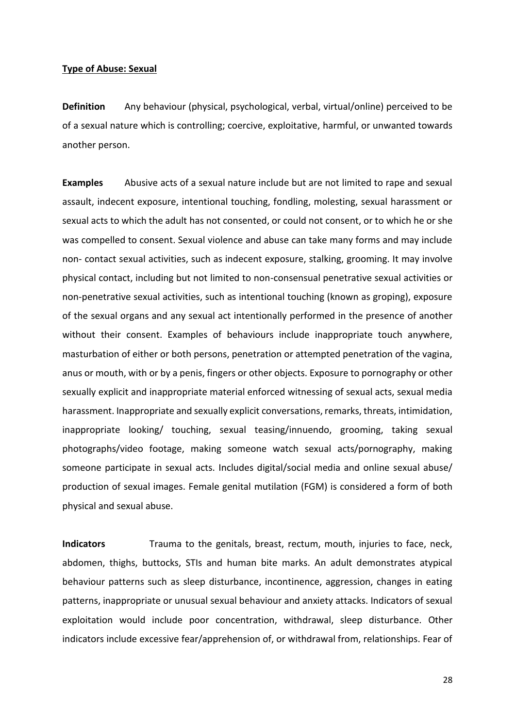#### **Type of Abuse: Sexual**

**Definition** Any behaviour (physical, psychological, verbal, virtual/online) perceived to be of a sexual nature which is controlling; coercive, exploitative, harmful, or unwanted towards another person.

**Examples** Abusive acts of a sexual nature include but are not limited to rape and sexual assault, indecent exposure, intentional touching, fondling, molesting, sexual harassment or sexual acts to which the adult has not consented, or could not consent, or to which he or she was compelled to consent. Sexual violence and abuse can take many forms and may include non- contact sexual activities, such as indecent exposure, stalking, grooming. It may involve physical contact, including but not limited to non-consensual penetrative sexual activities or non-penetrative sexual activities, such as intentional touching (known as groping), exposure of the sexual organs and any sexual act intentionally performed in the presence of another without their consent. Examples of behaviours include inappropriate touch anywhere, masturbation of either or both persons, penetration or attempted penetration of the vagina, anus or mouth, with or by a penis, fingers or other objects. Exposure to pornography or other sexually explicit and inappropriate material enforced witnessing of sexual acts, sexual media harassment. Inappropriate and sexually explicit conversations, remarks, threats, intimidation, inappropriate looking/ touching, sexual teasing/innuendo, grooming, taking sexual photographs/video footage, making someone watch sexual acts/pornography, making someone participate in sexual acts. Includes digital/social media and online sexual abuse/ production of sexual images. Female genital mutilation (FGM) is considered a form of both physical and sexual abuse.

**Indicators** Trauma to the genitals, breast, rectum, mouth, injuries to face, neck, abdomen, thighs, buttocks, STIs and human bite marks. An adult demonstrates atypical behaviour patterns such as sleep disturbance, incontinence, aggression, changes in eating patterns, inappropriate or unusual sexual behaviour and anxiety attacks. Indicators of sexual exploitation would include poor concentration, withdrawal, sleep disturbance. Other indicators include excessive fear/apprehension of, or withdrawal from, relationships. Fear of

28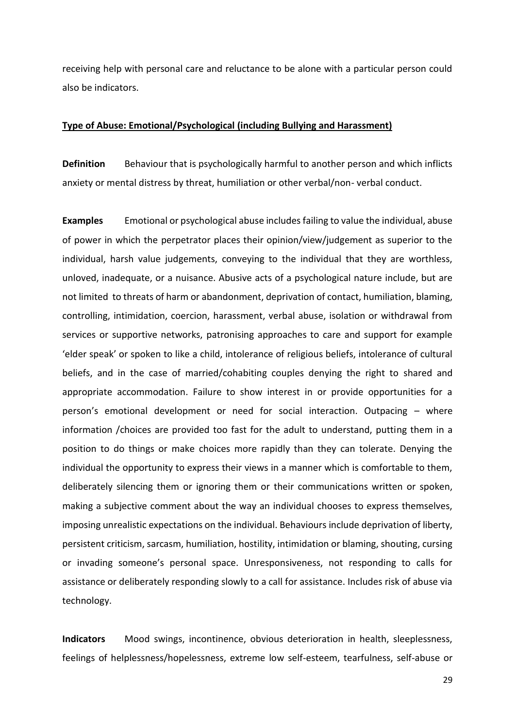receiving help with personal care and reluctance to be alone with a particular person could also be indicators.

#### **Type of Abuse: Emotional/Psychological (including Bullying and Harassment)**

**Definition** Behaviour that is psychologically harmful to another person and which inflicts anxiety or mental distress by threat, humiliation or other verbal/non- verbal conduct.

**Examples** Emotional or psychological abuse includes failing to value the individual, abuse of power in which the perpetrator places their opinion/view/judgement as superior to the individual, harsh value judgements, conveying to the individual that they are worthless, unloved, inadequate, or a nuisance. Abusive acts of a psychological nature include, but are not limited to threats of harm or abandonment, deprivation of contact, humiliation, blaming, controlling, intimidation, coercion, harassment, verbal abuse, isolation or withdrawal from services or supportive networks, patronising approaches to care and support for example 'elder speak' or spoken to like a child, intolerance of religious beliefs, intolerance of cultural beliefs, and in the case of married/cohabiting couples denying the right to shared and appropriate accommodation. Failure to show interest in or provide opportunities for a person's emotional development or need for social interaction. Outpacing – where information /choices are provided too fast for the adult to understand, putting them in a position to do things or make choices more rapidly than they can tolerate. Denying the individual the opportunity to express their views in a manner which is comfortable to them, deliberately silencing them or ignoring them or their communications written or spoken, making a subjective comment about the way an individual chooses to express themselves, imposing unrealistic expectations on the individual. Behaviours include deprivation of liberty, persistent criticism, sarcasm, humiliation, hostility, intimidation or blaming, shouting, cursing or invading someone's personal space. Unresponsiveness, not responding to calls for assistance or deliberately responding slowly to a call for assistance. Includes risk of abuse via technology.

**Indicators** Mood swings, incontinence, obvious deterioration in health, sleeplessness, feelings of helplessness/hopelessness, extreme low self-esteem, tearfulness, self-abuse or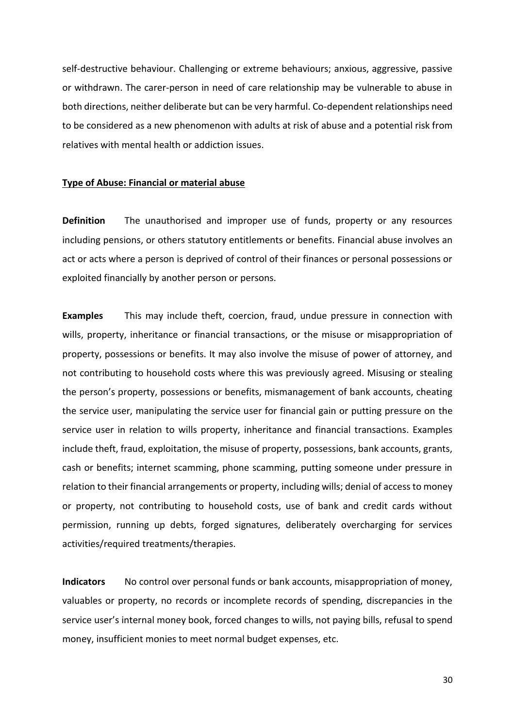self-destructive behaviour. Challenging or extreme behaviours; anxious, aggressive, passive or withdrawn. The carer-person in need of care relationship may be vulnerable to abuse in both directions, neither deliberate but can be very harmful. Co-dependent relationships need to be considered as a new phenomenon with adults at risk of abuse and a potential risk from relatives with mental health or addiction issues.

#### **Type of Abuse: Financial or material abuse**

**Definition** The unauthorised and improper use of funds, property or any resources including pensions, or others statutory entitlements or benefits. Financial abuse involves an act or acts where a person is deprived of control of their finances or personal possessions or exploited financially by another person or persons.

**Examples** This may include theft, coercion, fraud, undue pressure in connection with wills, property, inheritance or financial transactions, or the misuse or misappropriation of property, possessions or benefits. It may also involve the misuse of power of attorney, and not contributing to household costs where this was previously agreed. Misusing or stealing the person's property, possessions or benefits, mismanagement of bank accounts, cheating the service user, manipulating the service user for financial gain or putting pressure on the service user in relation to wills property, inheritance and financial transactions. Examples include theft, fraud, exploitation, the misuse of property, possessions, bank accounts, grants, cash or benefits; internet scamming, phone scamming, putting someone under pressure in relation to their financial arrangements or property, including wills; denial of access to money or property, not contributing to household costs, use of bank and credit cards without permission, running up debts, forged signatures, deliberately overcharging for services activities/required treatments/therapies.

**Indicators** No control over personal funds or bank accounts, misappropriation of money, valuables or property, no records or incomplete records of spending, discrepancies in the service user's internal money book, forced changes to wills, not paying bills, refusal to spend money, insufficient monies to meet normal budget expenses, etc.

30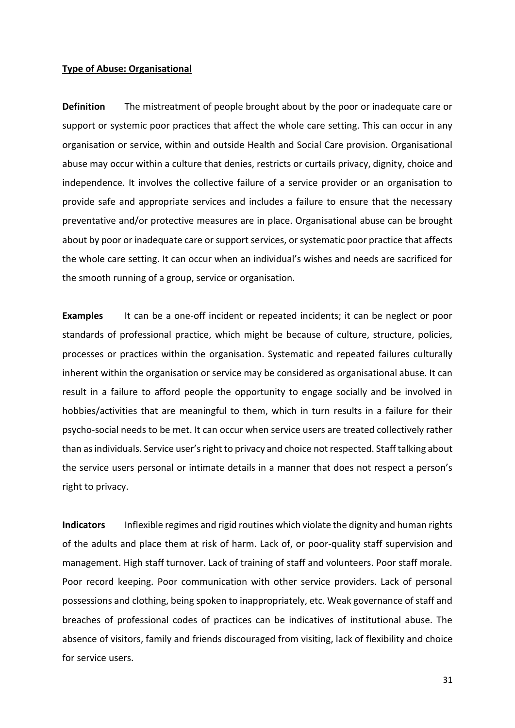#### **Type of Abuse: Organisational**

**Definition** The mistreatment of people brought about by the poor or inadequate care or support or systemic poor practices that affect the whole care setting. This can occur in any organisation or service, within and outside Health and Social Care provision. Organisational abuse may occur within a culture that denies, restricts or curtails privacy, dignity, choice and independence. It involves the collective failure of a service provider or an organisation to provide safe and appropriate services and includes a failure to ensure that the necessary preventative and/or protective measures are in place. Organisational abuse can be brought about by poor or inadequate care or support services, or systematic poor practice that affects the whole care setting. It can occur when an individual's wishes and needs are sacrificed for the smooth running of a group, service or organisation.

**Examples** It can be a one-off incident or repeated incidents; it can be neglect or poor standards of professional practice, which might be because of culture, structure, policies, processes or practices within the organisation. Systematic and repeated failures culturally inherent within the organisation or service may be considered as organisational abuse. It can result in a failure to afford people the opportunity to engage socially and be involved in hobbies/activities that are meaningful to them, which in turn results in a failure for their psycho-social needs to be met. It can occur when service users are treated collectively rather than as individuals. Service user's right to privacy and choice not respected. Staff talking about the service users personal or intimate details in a manner that does not respect a person's right to privacy.

**Indicators** Inflexible regimes and rigid routines which violate the dignity and human rights of the adults and place them at risk of harm. Lack of, or poor-quality staff supervision and management. High staff turnover. Lack of training of staff and volunteers. Poor staff morale. Poor record keeping. Poor communication with other service providers. Lack of personal possessions and clothing, being spoken to inappropriately, etc. Weak governance of staff and breaches of professional codes of practices can be indicatives of institutional abuse. The absence of visitors, family and friends discouraged from visiting, lack of flexibility and choice for service users.

31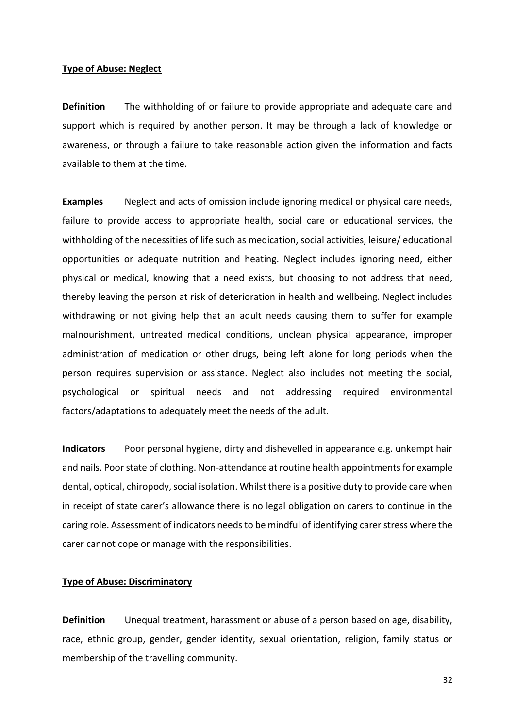#### **Type of Abuse: Neglect**

**Definition** The withholding of or failure to provide appropriate and adequate care and support which is required by another person. It may be through a lack of knowledge or awareness, or through a failure to take reasonable action given the information and facts available to them at the time.

**Examples** Neglect and acts of omission include ignoring medical or physical care needs, failure to provide access to appropriate health, social care or educational services, the withholding of the necessities of life such as medication, social activities, leisure/ educational opportunities or adequate nutrition and heating. Neglect includes ignoring need, either physical or medical, knowing that a need exists, but choosing to not address that need, thereby leaving the person at risk of deterioration in health and wellbeing. Neglect includes withdrawing or not giving help that an adult needs causing them to suffer for example malnourishment, untreated medical conditions, unclean physical appearance, improper administration of medication or other drugs, being left alone for long periods when the person requires supervision or assistance. Neglect also includes not meeting the social, psychological or spiritual needs and not addressing required environmental factors/adaptations to adequately meet the needs of the adult.

**Indicators** Poor personal hygiene, dirty and dishevelled in appearance e.g. unkempt hair and nails. Poor state of clothing. Non-attendance at routine health appointments for example dental, optical, chiropody, social isolation. Whilst there is a positive duty to provide care when in receipt of state carer's allowance there is no legal obligation on carers to continue in the caring role. Assessment of indicators needs to be mindful of identifying carer stress where the carer cannot cope or manage with the responsibilities.

#### **Type of Abuse: Discriminatory**

**Definition** Unequal treatment, harassment or abuse of a person based on age, disability, race, ethnic group, gender, gender identity, sexual orientation, religion, family status or membership of the travelling community.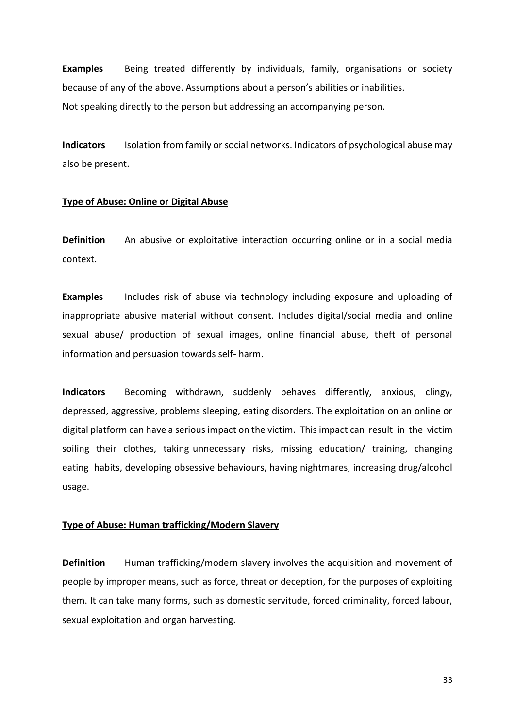**Examples** Being treated differently by individuals, family, organisations or society because of any of the above. Assumptions about a person's abilities or inabilities. Not speaking directly to the person but addressing an accompanying person.

**Indicators** Isolation from family or social networks. Indicators of psychological abuse may also be present.

#### **Type of Abuse: Online or Digital Abuse**

**Definition** An abusive or exploitative interaction occurring online or in a social media context.

**Examples** Includes risk of abuse via technology including exposure and uploading of inappropriate abusive material without consent. Includes digital/social media and online sexual abuse/ production of sexual images, online financial abuse, theft of personal information and persuasion towards self- harm.

**Indicators** Becoming withdrawn, suddenly behaves differently, anxious, clingy, depressed, aggressive, problems sleeping, eating disorders. The exploitation on an online or digital platform can have a serious impact on the victim. This impact can result in the victim soiling their clothes, taking unnecessary risks, missing education/ training, changing eating habits, developing obsessive behaviours, having nightmares, increasing drug/alcohol usage.

#### **Type of Abuse: Human trafficking/Modern Slavery**

**Definition** Human trafficking/modern slavery involves the acquisition and movement of people by improper means, such as force, threat or deception, for the purposes of exploiting them. It can take many forms, such as domestic servitude, forced criminality, forced labour, sexual exploitation and organ harvesting.